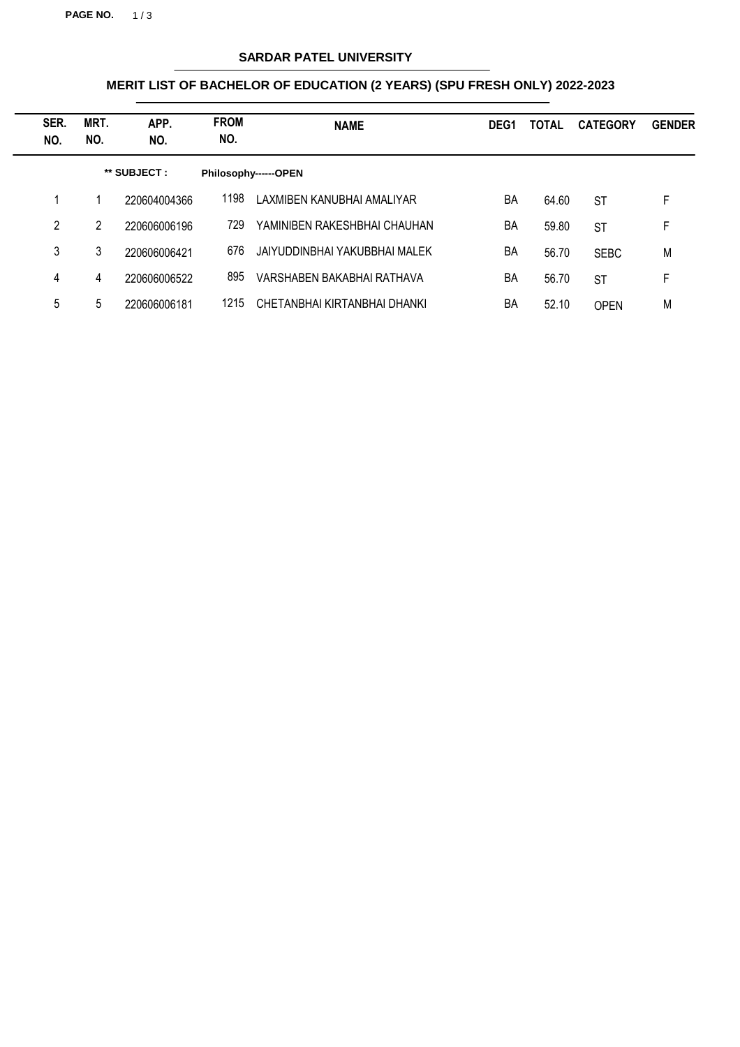**PAGE NO.** 1/3

# **SARDAR PATEL UNIVERSITY**

## **MERIT LIST OF BACHELOR OF EDUCATION (2 YEARS) (SPU FRESH ONLY) 2022-2023**

| SER.<br>NO. | MRT.<br>NO.  | APP.<br>NO.  | <b>FROM</b><br>NO. | <b>NAME</b>                   | DEG <sub>1</sub> | <b>TOTAL</b> | <b>CATEGORY</b> | <b>GENDER</b> |
|-------------|--------------|--------------|--------------------|-------------------------------|------------------|--------------|-----------------|---------------|
|             | ** SUBJECT : |              |                    | Philosophy------OPEN          |                  |              |                 |               |
|             |              | 220604004366 | 1198               | LAXMIBEN KANUBHAI AMALIYAR    | BA               | 64.60        | <b>ST</b>       | F             |
| 2           | 2            | 220606006196 | 729                | YAMINIBEN RAKESHBHAI CHAUHAN  | BA               | 59.80        | <b>ST</b>       | F             |
| 3           | 3            | 220606006421 | 676                | JAIYUDDINBHAI YAKUBBHAI MALEK | BA               | 56.70        | <b>SEBC</b>     | M             |
| 4           | 4            | 220606006522 | 895                | VARSHABEN BAKABHAI RATHAVA    | BA               | 56.70        | <b>ST</b>       | F             |
| 5           | 5            | 220606006181 | 1215               | CHETANBHAI KIRTANBHAI DHANKI  | BA               | 52.10        | <b>OPEN</b>     | M             |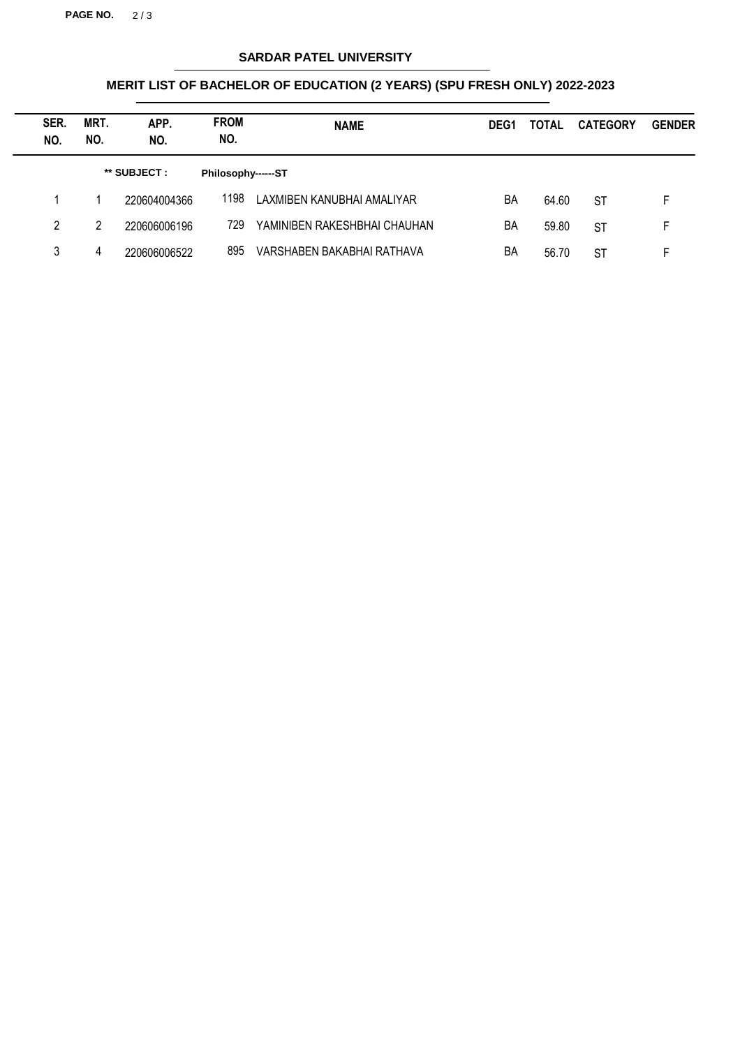**PAGE NO.** 2 / 3

# **SARDAR PATEL UNIVERSITY**

## **MERIT LIST OF BACHELOR OF EDUCATION (2 YEARS) (SPU FRESH ONLY) 2022-2023**

| SER.<br>NO. | MRT.<br>NO. | APP.<br>NO.  | <b>FROM</b><br>NO. | <b>NAME</b>                  | DEG <sub>1</sub> | <b>TOTAL</b> | <b>CATEGORY</b> | <b>GENDER</b> |
|-------------|-------------|--------------|--------------------|------------------------------|------------------|--------------|-----------------|---------------|
|             |             | ** SUBJECT : | Philosophy------ST |                              |                  |              |                 |               |
|             |             | 220604004366 | 1198               | LAXMIBEN KANUBHAI AMALIYAR   | BA               | 64.60        | <b>ST</b>       | F.            |
| 2           | 2           | 220606006196 | 729                | YAMINIBEN RAKESHBHAI CHAUHAN | BA               | 59.80        | <b>ST</b>       | F.            |
| 3           | 4           | 220606006522 | 895                | VARSHABEN BAKABHAI RATHAVA   | BA               | 56.70        | <b>ST</b>       | F             |